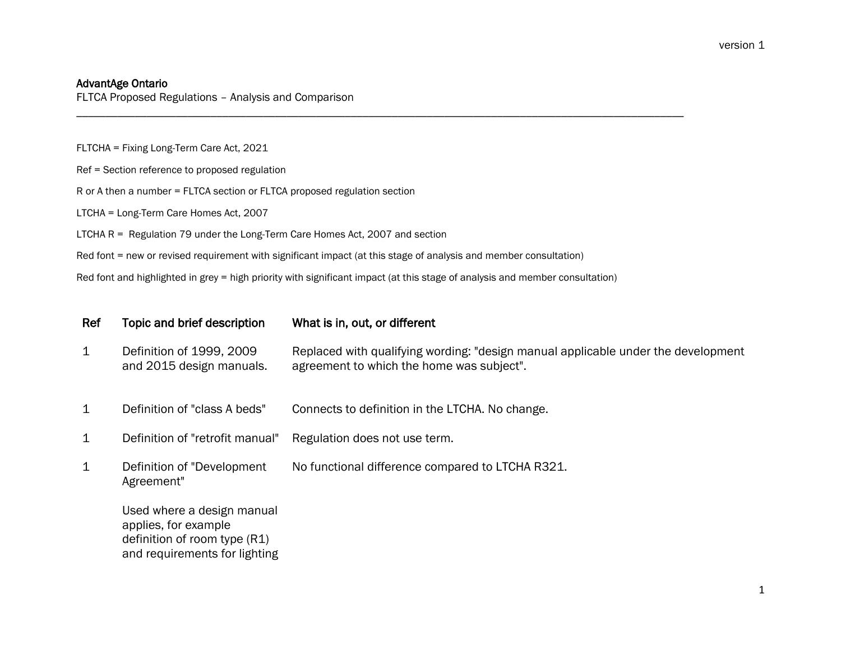### AdvantAge Ontario

FLTCA Proposed Regulations – Analysis and Comparison

FLTCHA = Fixing Long-Term Care Act, 2021

Ref = Section reference to proposed regulation

R or A then a number = FLTCA section or FLTCA proposed regulation section

LTCHA = Long-Term Care Homes Act, 2007

LTCHA R = Regulation 79 under the Long-Term Care Homes Act, 2007 and section

Red font = new or revised requirement with significant impact (at this stage of analysis and member consultation)

Red font and highlighted in grey = high priority with significant impact (at this stage of analysis and member consultation)

\_\_\_\_\_\_\_\_\_\_\_\_\_\_\_\_\_\_\_\_\_\_\_\_\_\_\_\_\_\_\_\_\_\_\_\_\_\_\_\_\_\_\_\_\_\_\_\_\_\_\_\_\_\_\_\_\_\_\_\_\_\_\_\_\_\_\_\_\_\_\_\_\_\_\_\_\_\_\_\_\_\_\_\_\_\_\_\_\_\_\_\_\_\_\_\_\_\_\_\_\_\_\_\_

| Ref          | Topic and brief description                                                                                           | What is in, out, or different                                                                                                  |
|--------------|-----------------------------------------------------------------------------------------------------------------------|--------------------------------------------------------------------------------------------------------------------------------|
| $\mathbf{1}$ | Definition of 1999, 2009<br>and 2015 design manuals.                                                                  | Replaced with qualifying wording: "design manual applicable under the development<br>agreement to which the home was subject". |
| $\mathbf{1}$ | Definition of "class A beds"                                                                                          | Connects to definition in the LTCHA. No change.                                                                                |
| $\mathbf 1$  | Definition of "retrofit manual"                                                                                       | Regulation does not use term.                                                                                                  |
| $\mathbf{1}$ | Definition of "Development"<br>Agreement"                                                                             | No functional difference compared to LTCHA R321.                                                                               |
|              | Used where a design manual<br>applies, for example<br>definition of room type $(R1)$<br>and requirements for lighting |                                                                                                                                |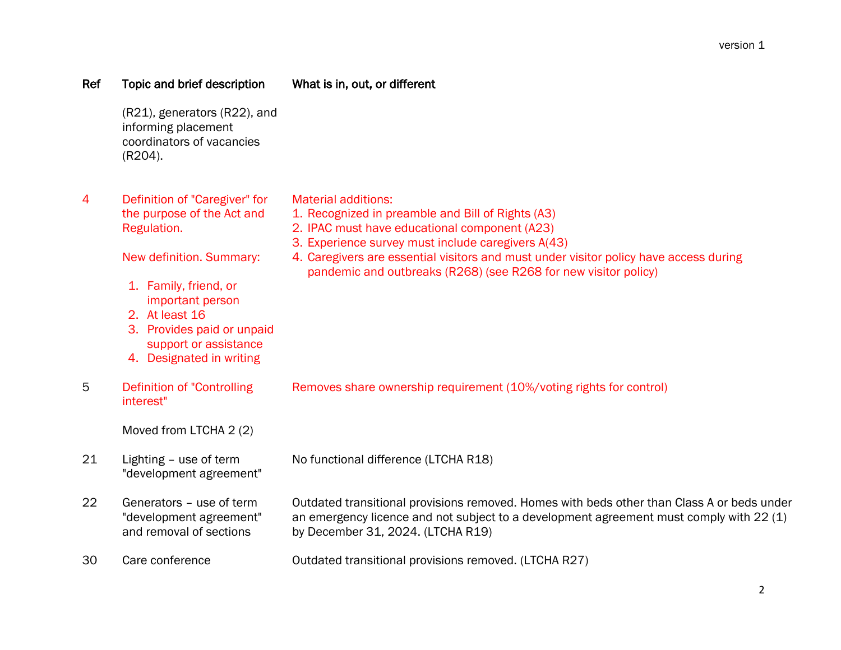(R21), generators (R22), and informing placement coordinators of vacancies (R204).

4 Definition of "Caregiver" for the purpose of the Act and Regulation. 1. Recognized in preamble and Bill of Rights (A3) 2. IPAC must have educational component (A23)

New definition. Summary:

1. Family, friend, or important person

2. At least 16

- 3. Provides paid or unpaid support or assistance
- 4. Designated in writing
- 5 Definition of "Controlling interest" Removes share ownership requirement (10%/voting rights for control)

Moved from LTCHA 2 (2)

21 Lighting – use of term "development agreement"

No functional difference (LTCHA R18)

22 Generators – use of term "development agreement" and removal of sections Outdated transitional provisions removed. Homes with beds other than Class A or beds under an emergency licence and not subject to a development agreement must comply with 22 (1) by December 31, 2024. (LTCHA R19)

3. Experience survey must include caregivers A(43)

4. Caregivers are essential visitors and must under visitor policy have access during

pandemic and outbreaks (R268) (see R268 for new visitor policy)

30 Care conference Outdated transitional provisions removed. (LTCHA R27)

Material additions: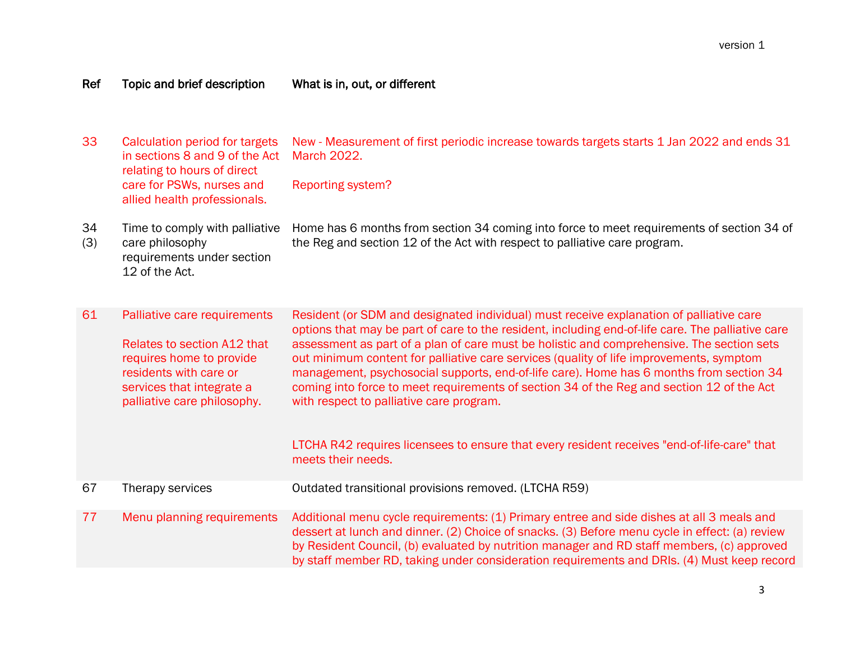| 33        | Calculation period for targets<br>in sections 8 and 9 of the Act<br>relating to hours of direct<br>care for PSWs, nurses and<br>allied health professionals.                  | New - Measurement of first periodic increase towards targets starts 1 Jan 2022 and ends 31<br><b>March 2022.</b><br><b>Reporting system?</b>                                                                                                                                                                                                                                                                                                                                                                                                                                                                                                                                                                                                  |
|-----------|-------------------------------------------------------------------------------------------------------------------------------------------------------------------------------|-----------------------------------------------------------------------------------------------------------------------------------------------------------------------------------------------------------------------------------------------------------------------------------------------------------------------------------------------------------------------------------------------------------------------------------------------------------------------------------------------------------------------------------------------------------------------------------------------------------------------------------------------------------------------------------------------------------------------------------------------|
| 34<br>(3) | Time to comply with palliative<br>care philosophy<br>requirements under section<br>12 of the Act.                                                                             | Home has 6 months from section 34 coming into force to meet requirements of section 34 of<br>the Reg and section 12 of the Act with respect to palliative care program.                                                                                                                                                                                                                                                                                                                                                                                                                                                                                                                                                                       |
| 61        | Palliative care requirements<br>Relates to section A12 that<br>requires home to provide<br>residents with care or<br>services that integrate a<br>palliative care philosophy. | Resident (or SDM and designated individual) must receive explanation of palliative care<br>options that may be part of care to the resident, including end-of-life care. The palliative care<br>assessment as part of a plan of care must be holistic and comprehensive. The section sets<br>out minimum content for palliative care services (quality of life improvements, symptom<br>management, psychosocial supports, end-of-life care). Home has 6 months from section 34<br>coming into force to meet requirements of section 34 of the Reg and section 12 of the Act<br>with respect to palliative care program.<br>LTCHA R42 requires licensees to ensure that every resident receives "end-of-life-care" that<br>meets their needs. |
| 67        | Therapy services                                                                                                                                                              | Outdated transitional provisions removed. (LTCHA R59)                                                                                                                                                                                                                                                                                                                                                                                                                                                                                                                                                                                                                                                                                         |
| 77        | Menu planning requirements                                                                                                                                                    | Additional menu cycle requirements: (1) Primary entree and side dishes at all 3 meals and<br>dessert at lunch and dinner. (2) Choice of snacks. (3) Before menu cycle in effect: (a) review<br>by Resident Council, (b) evaluated by nutrition manager and RD staff members, (c) approved<br>by staff member RD, taking under consideration requirements and DRIs. (4) Must keep record                                                                                                                                                                                                                                                                                                                                                       |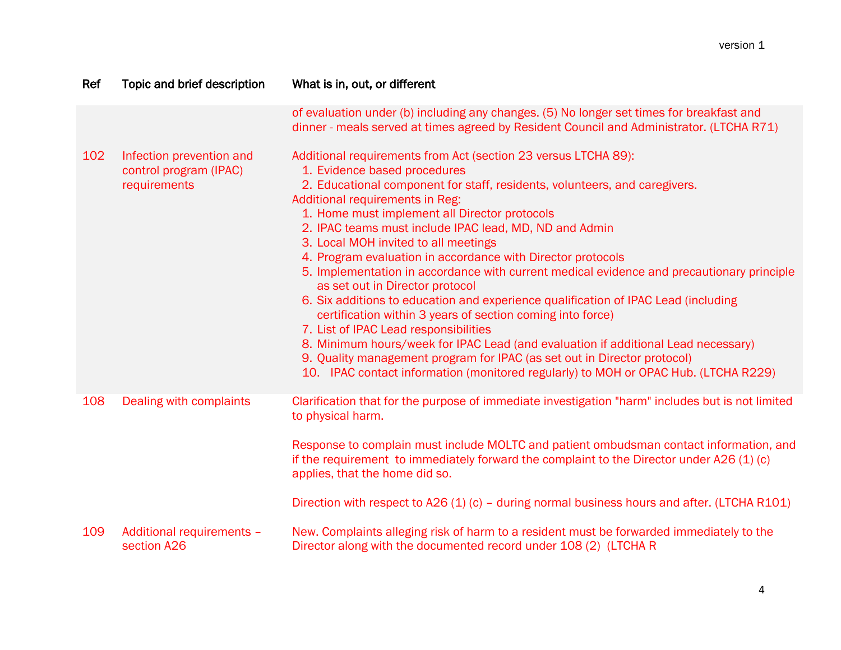| Ref | Topic and brief description                                        | What is in, out, or different                                                                                                                                                                                                                                                                                                                                                                                                                                                                                                                                                                                                                                                                                                                                                                                                                                                                                                                                                                                          |
|-----|--------------------------------------------------------------------|------------------------------------------------------------------------------------------------------------------------------------------------------------------------------------------------------------------------------------------------------------------------------------------------------------------------------------------------------------------------------------------------------------------------------------------------------------------------------------------------------------------------------------------------------------------------------------------------------------------------------------------------------------------------------------------------------------------------------------------------------------------------------------------------------------------------------------------------------------------------------------------------------------------------------------------------------------------------------------------------------------------------|
|     |                                                                    | of evaluation under (b) including any changes. (5) No longer set times for breakfast and<br>dinner - meals served at times agreed by Resident Council and Administrator. (LTCHA R71)                                                                                                                                                                                                                                                                                                                                                                                                                                                                                                                                                                                                                                                                                                                                                                                                                                   |
| 102 | Infection prevention and<br>control program (IPAC)<br>requirements | Additional requirements from Act (section 23 versus LTCHA 89):<br>1. Evidence based procedures<br>2. Educational component for staff, residents, volunteers, and caregivers.<br>Additional requirements in Reg:<br>1. Home must implement all Director protocols<br>2. IPAC teams must include IPAC lead, MD, ND and Admin<br>3. Local MOH invited to all meetings<br>4. Program evaluation in accordance with Director protocols<br>5. Implementation in accordance with current medical evidence and precautionary principle<br>as set out in Director protocol<br>6. Six additions to education and experience qualification of IPAC Lead (including<br>certification within 3 years of section coming into force)<br>7. List of IPAC Lead responsibilities<br>8. Minimum hours/week for IPAC Lead (and evaluation if additional Lead necessary)<br>9. Quality management program for IPAC (as set out in Director protocol)<br>10. IPAC contact information (monitored regularly) to MOH or OPAC Hub. (LTCHA R229) |
| 108 | Dealing with complaints                                            | Clarification that for the purpose of immediate investigation "harm" includes but is not limited<br>to physical harm.<br>Response to complain must include MOLTC and patient ombudsman contact information, and<br>if the requirement to immediately forward the complaint to the Director under A26 (1) (c)<br>applies, that the home did so.<br>Direction with respect to A26 (1) (c) - during normal business hours and after. (LTCHA R101)                                                                                                                                                                                                                                                                                                                                                                                                                                                                                                                                                                         |
| 109 | Additional requirements -<br>section A26                           | New. Complaints alleging risk of harm to a resident must be forwarded immediately to the<br>Director along with the documented record under 108 (2) (LTCHA R                                                                                                                                                                                                                                                                                                                                                                                                                                                                                                                                                                                                                                                                                                                                                                                                                                                           |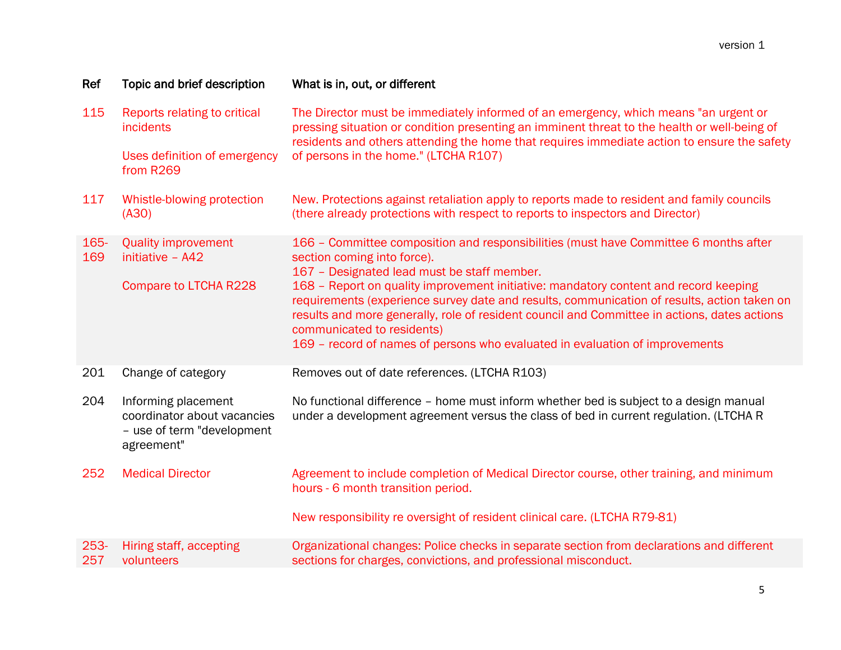| Ref            | Topic and brief description                                                                    | What is in, out, or different                                                                                                                                                                                                                                                                                                                                                                     |
|----------------|------------------------------------------------------------------------------------------------|---------------------------------------------------------------------------------------------------------------------------------------------------------------------------------------------------------------------------------------------------------------------------------------------------------------------------------------------------------------------------------------------------|
| 115            | Reports relating to critical<br>incidents                                                      | The Director must be immediately informed of an emergency, which means "an urgent or<br>pressing situation or condition presenting an imminent threat to the health or well-being of<br>residents and others attending the home that requires immediate action to ensure the safety                                                                                                               |
|                | Uses definition of emergency<br>from R269                                                      | of persons in the home." (LTCHA R107)                                                                                                                                                                                                                                                                                                                                                             |
| 117            | Whistle-blowing protection<br>(A30)                                                            | New. Protections against retaliation apply to reports made to resident and family councils<br>(there already protections with respect to reports to inspectors and Director)                                                                                                                                                                                                                      |
| 165-<br>169    | <b>Quality improvement</b><br>initiative - A42                                                 | 166 - Committee composition and responsibilities (must have Committee 6 months after<br>section coming into force).<br>167 - Designated lead must be staff member.                                                                                                                                                                                                                                |
|                | <b>Compare to LTCHA R228</b>                                                                   | 168 - Report on quality improvement initiative: mandatory content and record keeping<br>requirements (experience survey date and results, communication of results, action taken on<br>results and more generally, role of resident council and Committee in actions, dates actions<br>communicated to residents)<br>169 - record of names of persons who evaluated in evaluation of improvements |
| 201            | Change of category                                                                             | Removes out of date references. (LTCHA R103)                                                                                                                                                                                                                                                                                                                                                      |
| 204            | Informing placement<br>coordinator about vacancies<br>- use of term "development<br>agreement" | No functional difference - home must inform whether bed is subject to a design manual<br>under a development agreement versus the class of bed in current regulation. (LTCHA R                                                                                                                                                                                                                    |
| 252            | <b>Medical Director</b>                                                                        | Agreement to include completion of Medical Director course, other training, and minimum<br>hours - 6 month transition period.                                                                                                                                                                                                                                                                     |
|                |                                                                                                | New responsibility re oversight of resident clinical care. (LTCHA R79-81)                                                                                                                                                                                                                                                                                                                         |
| $253 -$<br>257 | Hiring staff, accepting<br>volunteers                                                          | Organizational changes: Police checks in separate section from declarations and different<br>sections for charges, convictions, and professional misconduct.                                                                                                                                                                                                                                      |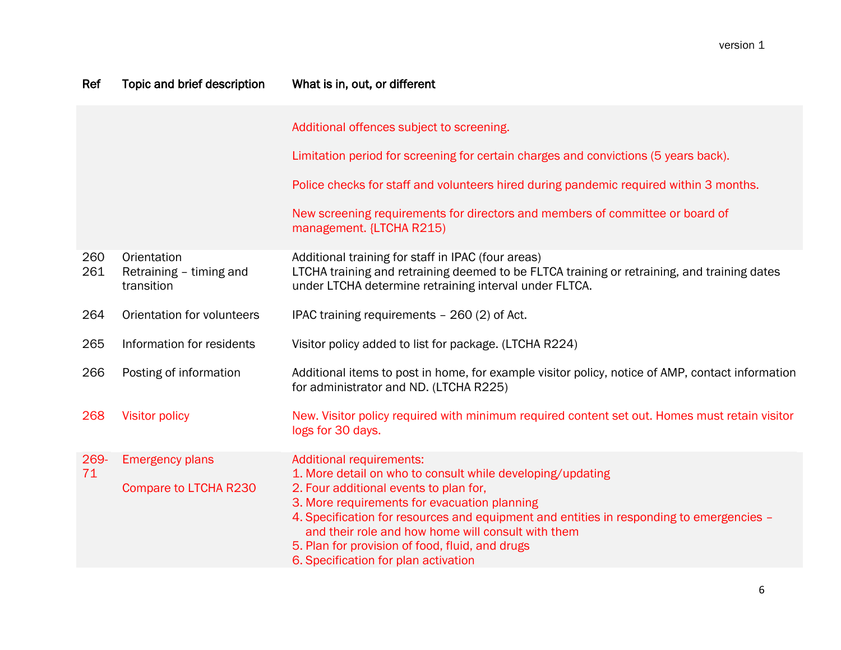|            |                                                      | Additional offences subject to screening.                                                                                                                                                                                                                                                                                           |
|------------|------------------------------------------------------|-------------------------------------------------------------------------------------------------------------------------------------------------------------------------------------------------------------------------------------------------------------------------------------------------------------------------------------|
|            |                                                      | Limitation period for screening for certain charges and convictions (5 years back).                                                                                                                                                                                                                                                 |
|            |                                                      | Police checks for staff and volunteers hired during pandemic required within 3 months.                                                                                                                                                                                                                                              |
|            |                                                      | New screening requirements for directors and members of committee or board of<br>management. {LTCHA R215}                                                                                                                                                                                                                           |
| 260<br>261 | Orientation<br>Retraining - timing and<br>transition | Additional training for staff in IPAC (four areas)<br>LTCHA training and retraining deemed to be FLTCA training or retraining, and training dates<br>under LTCHA determine retraining interval under FLTCA.                                                                                                                         |
| 264        | Orientation for volunteers                           | IPAC training requirements - 260 (2) of Act.                                                                                                                                                                                                                                                                                        |
| 265        | Information for residents                            | Visitor policy added to list for package. (LTCHA R224)                                                                                                                                                                                                                                                                              |
| 266        | Posting of information                               | Additional items to post in home, for example visitor policy, notice of AMP, contact information<br>for administrator and ND. (LTCHA R225)                                                                                                                                                                                          |
| 268        | <b>Visitor policy</b>                                | New. Visitor policy required with minimum required content set out. Homes must retain visitor<br>logs for 30 days.                                                                                                                                                                                                                  |
| 269-<br>71 | <b>Emergency plans</b>                               | <b>Additional requirements:</b><br>1. More detail on who to consult while developing/updating                                                                                                                                                                                                                                       |
|            | <b>Compare to LTCHA R230</b>                         | 2. Four additional events to plan for,<br>3. More requirements for evacuation planning<br>4. Specification for resources and equipment and entities in responding to emergencies -<br>and their role and how home will consult with them<br>5. Plan for provision of food, fluid, and drugs<br>6. Specification for plan activation |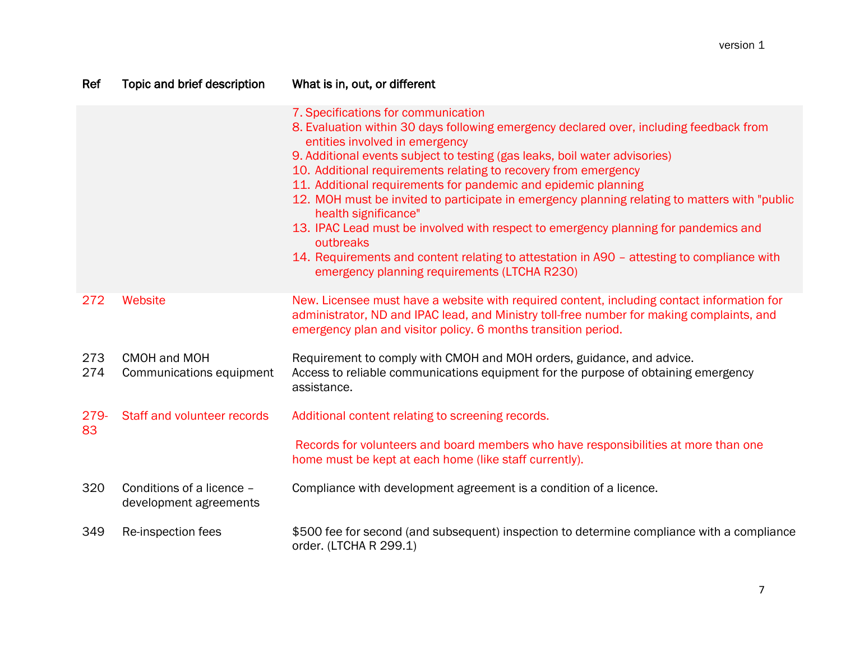| Ref        | Topic and brief description                         | What is in, out, or different                                                                                                                                                                                                                                                                                                                                                                                                                                                                                                                                                                                                                                                                                                                                   |
|------------|-----------------------------------------------------|-----------------------------------------------------------------------------------------------------------------------------------------------------------------------------------------------------------------------------------------------------------------------------------------------------------------------------------------------------------------------------------------------------------------------------------------------------------------------------------------------------------------------------------------------------------------------------------------------------------------------------------------------------------------------------------------------------------------------------------------------------------------|
|            |                                                     | 7. Specifications for communication<br>8. Evaluation within 30 days following emergency declared over, including feedback from<br>entities involved in emergency<br>9. Additional events subject to testing (gas leaks, boil water advisories)<br>10. Additional requirements relating to recovery from emergency<br>11. Additional requirements for pandemic and epidemic planning<br>12. MOH must be invited to participate in emergency planning relating to matters with "public"<br>health significance"<br>13. IPAC Lead must be involved with respect to emergency planning for pandemics and<br>outbreaks<br>14. Requirements and content relating to attestation in A90 - attesting to compliance with<br>emergency planning requirements (LTCHA R230) |
| 272        | Website                                             | New. Licensee must have a website with required content, including contact information for<br>administrator, ND and IPAC lead, and Ministry toll-free number for making complaints, and<br>emergency plan and visitor policy. 6 months transition period.                                                                                                                                                                                                                                                                                                                                                                                                                                                                                                       |
| 273<br>274 | CMOH and MOH<br>Communications equipment            | Requirement to comply with CMOH and MOH orders, guidance, and advice.<br>Access to reliable communications equipment for the purpose of obtaining emergency<br>assistance.                                                                                                                                                                                                                                                                                                                                                                                                                                                                                                                                                                                      |
| 279-<br>83 | Staff and volunteer records                         | Additional content relating to screening records.                                                                                                                                                                                                                                                                                                                                                                                                                                                                                                                                                                                                                                                                                                               |
|            |                                                     | Records for volunteers and board members who have responsibilities at more than one<br>home must be kept at each home (like staff currently).                                                                                                                                                                                                                                                                                                                                                                                                                                                                                                                                                                                                                   |
| 320        | Conditions of a licence -<br>development agreements | Compliance with development agreement is a condition of a licence.                                                                                                                                                                                                                                                                                                                                                                                                                                                                                                                                                                                                                                                                                              |
| 349        | Re-inspection fees                                  | \$500 fee for second (and subsequent) inspection to determine compliance with a compliance<br>order. (LTCHA R 299.1)                                                                                                                                                                                                                                                                                                                                                                                                                                                                                                                                                                                                                                            |